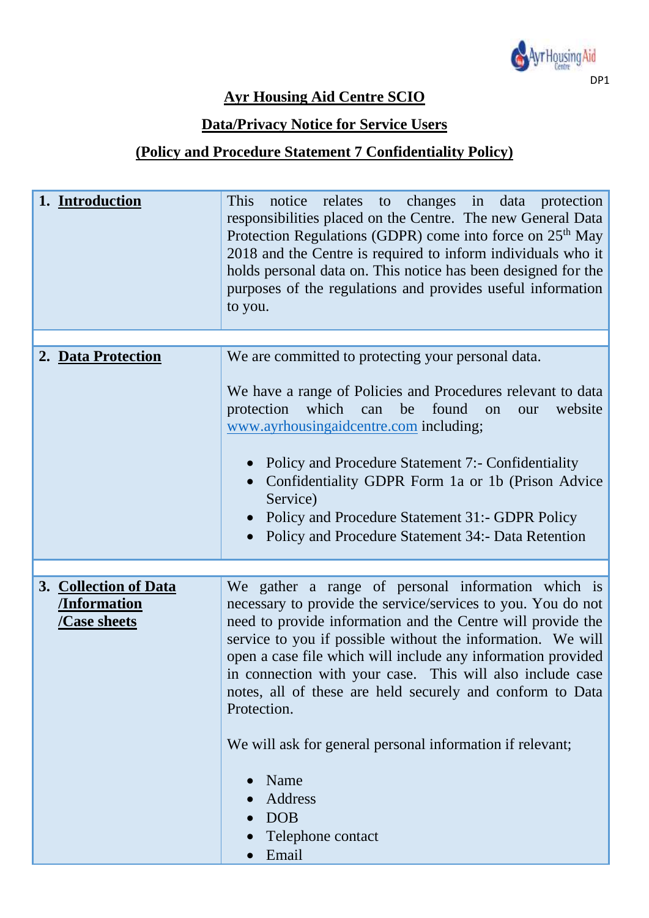

### **Ayr Housing Aid Centre SCIO**

#### **Data/Privacy Notice for Service Users**

## **(Policy and Procedure Statement 7 Confidentiality Policy)**

| 1. Introduction                                                   | notice relates to changes in data protection<br>This<br>responsibilities placed on the Centre. The new General Data<br>Protection Regulations (GDPR) come into force on 25 <sup>th</sup> May<br>2018 and the Centre is required to inform individuals who it<br>holds personal data on. This notice has been designed for the<br>purposes of the regulations and provides useful information<br>to you.                                                   |
|-------------------------------------------------------------------|-----------------------------------------------------------------------------------------------------------------------------------------------------------------------------------------------------------------------------------------------------------------------------------------------------------------------------------------------------------------------------------------------------------------------------------------------------------|
| 2. Data Protection                                                | We are committed to protecting your personal data.                                                                                                                                                                                                                                                                                                                                                                                                        |
|                                                                   | We have a range of Policies and Procedures relevant to data<br>be found<br>protection<br>which<br>can<br>on<br>website<br>our<br>www.ayrhousingaidcentre.com including;<br>Policy and Procedure Statement 7:- Confidentiality<br>Confidentiality GDPR Form 1a or 1b (Prison Advice)<br>Service)<br>Policy and Procedure Statement 31:- GDPR Policy<br>Policy and Procedure Statement 34:- Data Retention                                                  |
|                                                                   |                                                                                                                                                                                                                                                                                                                                                                                                                                                           |
| 3. Collection of Data<br><b>Information</b><br><b>Case sheets</b> | We gather a range of personal information which is<br>necessary to provide the service/services to you. You do not<br>need to provide information and the Centre will provide the<br>service to you if possible without the information. We will<br>open a case file which will include any information provided<br>in connection with your case. This will also include case<br>notes, all of these are held securely and conform to Data<br>Protection. |
|                                                                   | We will ask for general personal information if relevant;<br>Name<br>Address<br><b>DOB</b><br>Telephone contact<br>Email                                                                                                                                                                                                                                                                                                                                  |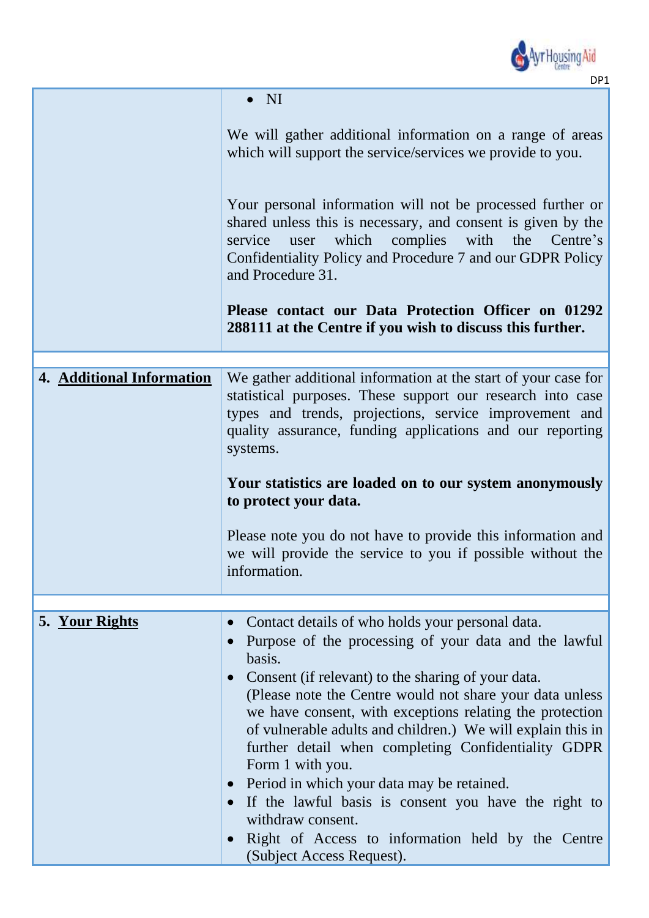

|                           | $\overline{\rm {NI}}$                                                                                                                                                                                                                                                                                                                                                                                                                                                                                                                                                                                                                                                 |  |  |  |  |
|---------------------------|-----------------------------------------------------------------------------------------------------------------------------------------------------------------------------------------------------------------------------------------------------------------------------------------------------------------------------------------------------------------------------------------------------------------------------------------------------------------------------------------------------------------------------------------------------------------------------------------------------------------------------------------------------------------------|--|--|--|--|
|                           | We will gather additional information on a range of areas<br>which will support the service/services we provide to you.                                                                                                                                                                                                                                                                                                                                                                                                                                                                                                                                               |  |  |  |  |
|                           | Your personal information will not be processed further or<br>shared unless this is necessary, and consent is given by the<br>which<br>complies<br>the<br>Centre's<br>service<br>with<br>user<br>Confidentiality Policy and Procedure 7 and our GDPR Policy<br>and Procedure 31.                                                                                                                                                                                                                                                                                                                                                                                      |  |  |  |  |
|                           | Please contact our Data Protection Officer on 01292<br>288111 at the Centre if you wish to discuss this further.                                                                                                                                                                                                                                                                                                                                                                                                                                                                                                                                                      |  |  |  |  |
|                           |                                                                                                                                                                                                                                                                                                                                                                                                                                                                                                                                                                                                                                                                       |  |  |  |  |
| 4. Additional Information | We gather additional information at the start of your case for<br>statistical purposes. These support our research into case<br>types and trends, projections, service improvement and<br>quality assurance, funding applications and our reporting<br>systems.<br>Your statistics are loaded on to our system anonymously<br>to protect your data.<br>Please note you do not have to provide this information and                                                                                                                                                                                                                                                    |  |  |  |  |
|                           | we will provide the service to you if possible without the<br>information.                                                                                                                                                                                                                                                                                                                                                                                                                                                                                                                                                                                            |  |  |  |  |
|                           |                                                                                                                                                                                                                                                                                                                                                                                                                                                                                                                                                                                                                                                                       |  |  |  |  |
| 5. Your Rights            | Contact details of who holds your personal data.<br>$\bullet$<br>Purpose of the processing of your data and the lawful<br>basis.<br>Consent (if relevant) to the sharing of your data.<br>(Please note the Centre would not share your data unless<br>we have consent, with exceptions relating the protection<br>of vulnerable adults and children.) We will explain this in<br>further detail when completing Confidentiality GDPR<br>Form 1 with you.<br>Period in which your data may be retained.<br>If the lawful basis is consent you have the right to<br>withdraw consent.<br>Right of Access to information held by the Centre<br>(Subject Access Request). |  |  |  |  |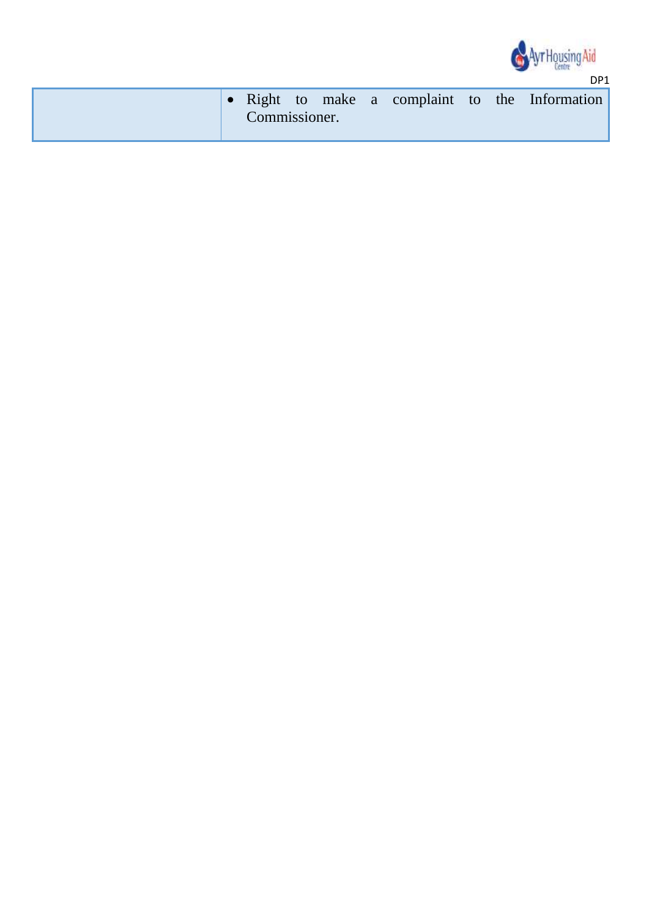

|  | Commissioner. |  |  |  | • Right to make a complaint to the Information |
|--|---------------|--|--|--|------------------------------------------------|
|  |               |  |  |  |                                                |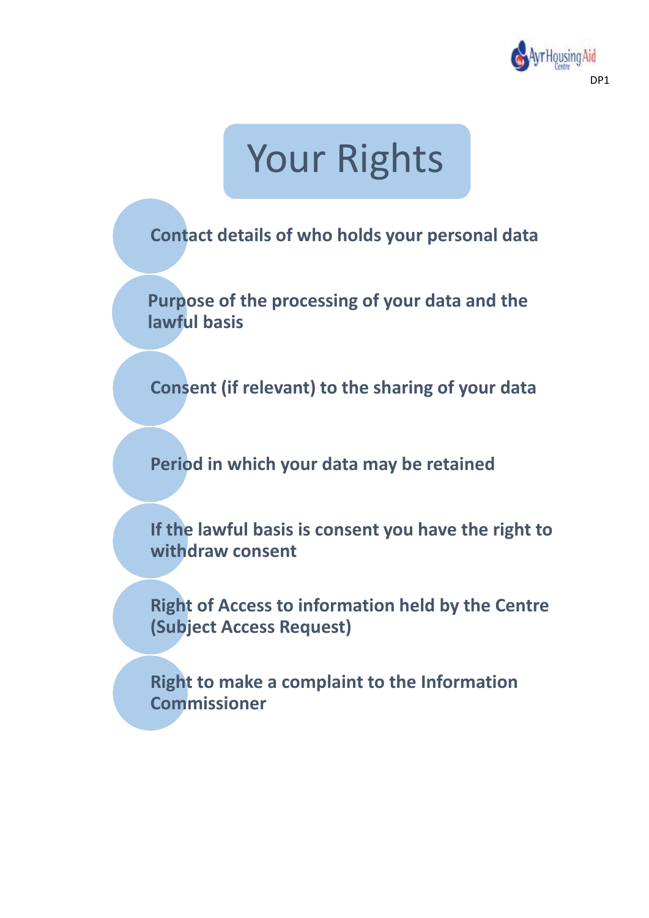

# Your Rights

**Contact details of who holds your personal data**

**Purpose of the processing of your data and the lawful basis**

**Consent (if relevant) to the sharing of your data**

**Period in which your data may be retained**

**If the lawful basis is consent you have the right to withdraw consent**

**Right of Access to information held by the Centre (Subject Access Request)**

**Right to make a complaint to the Information Commissioner**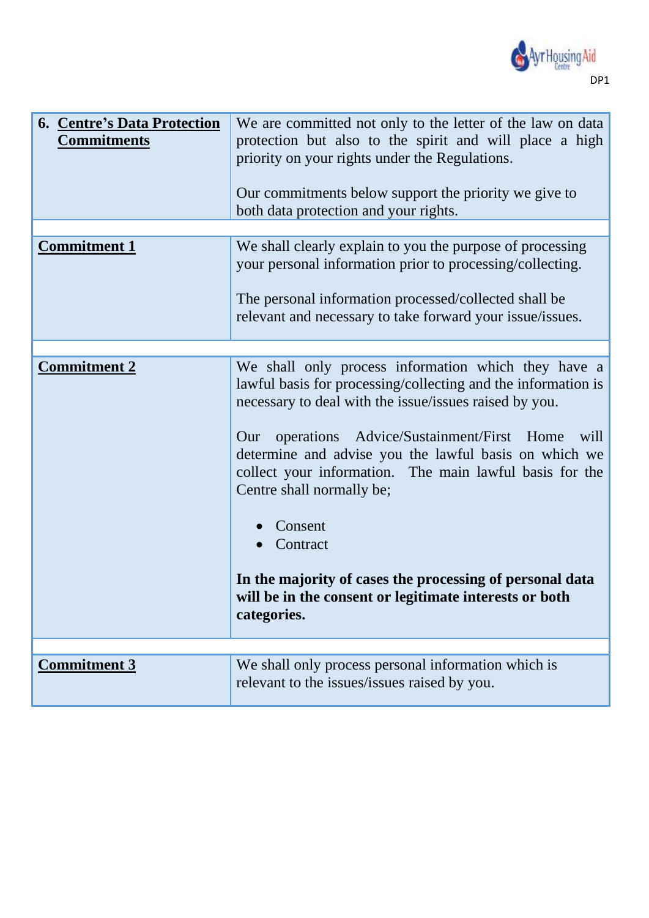

| <b>6. Centre's Data Protection</b><br><b>Commitments</b> | We are committed not only to the letter of the law on data<br>protection but also to the spirit and will place a high<br>priority on your rights under the Regulations.<br>Our commitments below support the priority we give to<br>both data protection and your rights.                                                                                                                                                                                                                                                                                 |
|----------------------------------------------------------|-----------------------------------------------------------------------------------------------------------------------------------------------------------------------------------------------------------------------------------------------------------------------------------------------------------------------------------------------------------------------------------------------------------------------------------------------------------------------------------------------------------------------------------------------------------|
|                                                          |                                                                                                                                                                                                                                                                                                                                                                                                                                                                                                                                                           |
| <b>Commitment 1</b>                                      | We shall clearly explain to you the purpose of processing<br>your personal information prior to processing/collecting.<br>The personal information processed/collected shall be<br>relevant and necessary to take forward your issue/issues.                                                                                                                                                                                                                                                                                                              |
|                                                          |                                                                                                                                                                                                                                                                                                                                                                                                                                                                                                                                                           |
| <b>Commitment 2</b>                                      | We shall only process information which they have a<br>lawful basis for processing/collecting and the information is<br>necessary to deal with the issue/issues raised by you.<br>Advice/Sustainment/First Home<br>operations<br>will<br>Our<br>determine and advise you the lawful basis on which we<br>collect your information. The main lawful basis for the<br>Centre shall normally be;<br>Consent<br>Contract<br>In the majority of cases the processing of personal data<br>will be in the consent or legitimate interests or both<br>categories. |
|                                                          |                                                                                                                                                                                                                                                                                                                                                                                                                                                                                                                                                           |
| <b>Commitment 3</b>                                      | We shall only process personal information which is<br>relevant to the issues/issues raised by you.                                                                                                                                                                                                                                                                                                                                                                                                                                                       |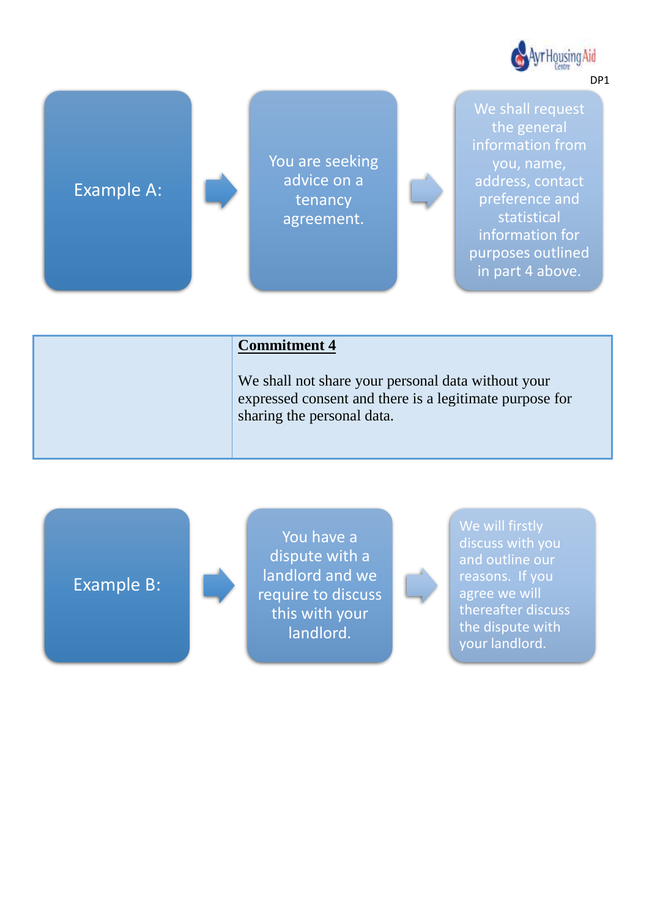

# Example A:

You are seeking advice on a tenancy agreement.

We shall request the general information from you, name, address, contact preference and statistical information for purposes outlined in part 4 above.

#### **Commitment 4**

We shall not share your personal data without your expressed consent and there is a legitimate purpose for sharing the personal data.

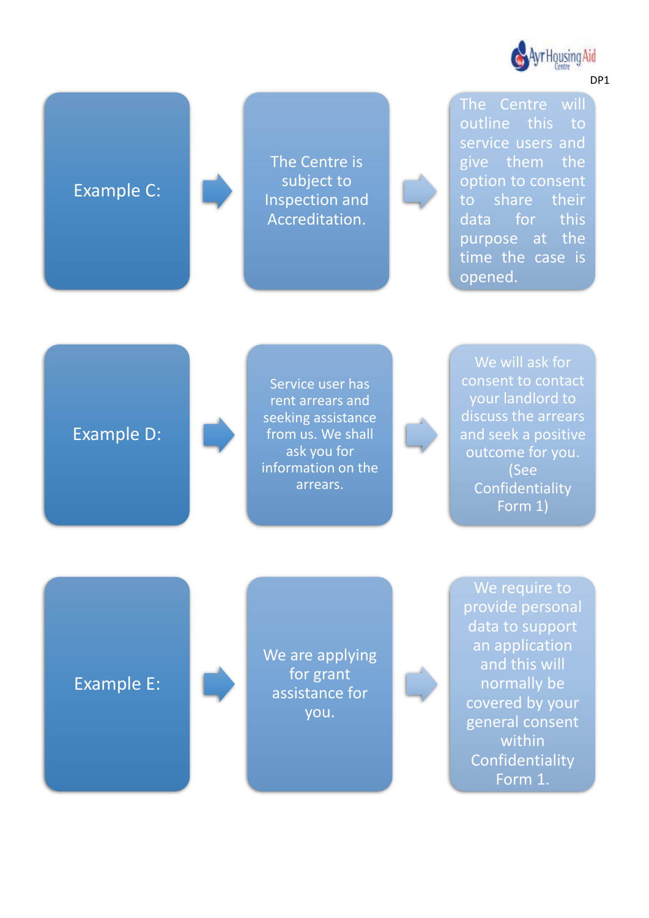

# Example C:

The Centre is subject to Inspection and Accreditation.

The Centre will outline this to service users and give them the option to consent to share their data for this purpose at the time the case is opened.

## Example D:

Service user has rent arrears and seeking assistance from us. We shall ask you for information on the arrears.

We will ask for consent to contact your landlord to discuss the arrears and seek a positive outcome for you. (See Confidentiality Form 1)

## Example E:

We are applying for grant assistance for you.

We require to provide personal data to support an application and this will normally be covered by your general consent within Confidentiality Form 1.